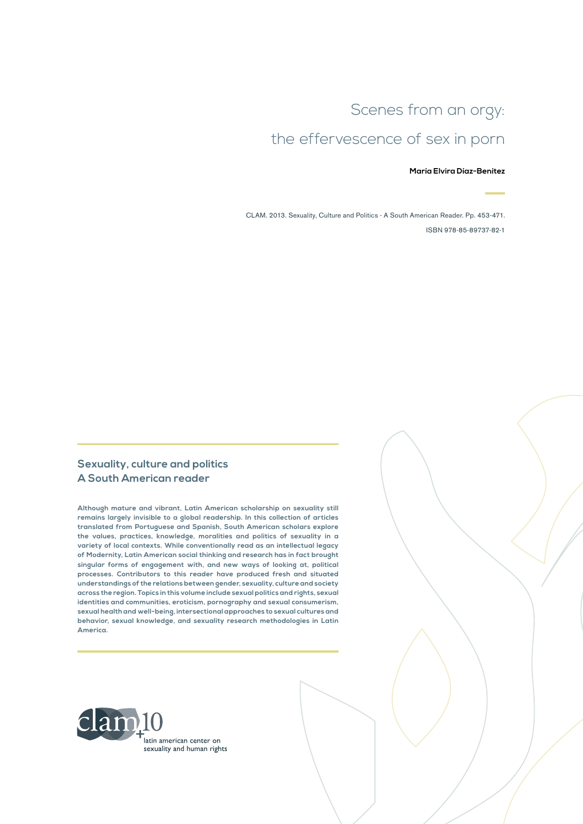# Scenes from an orgy:

# the effervescence of sex in porn

#### **María Elvira Díaz-Benítez**

CLAM. 2013. Sexuality, Culture and Politics - A South American Reader. Pp. 453-471. ISBN 978-85-89737-82-1

### **Sexuality, culture and politics A South American reader**

**Although mature and vibrant, Latin American scholarship on sexuality still remains largely invisible to a global readership. In this collection of articles translated from Portuguese and Spanish, South American scholars explore the values, practices, knowledge, moralities and politics of sexuality in a variety of local contexts. While conventionally read as an intellectual legacy of Modernity, Latin American social thinking and research has in fact brought singular forms of engagement with, and new ways of looking at, political processes. Contributors to this reader have produced fresh and situated understandings of the relations between gender, sexuality, culture and society across the region. Topics in this volume include sexual politics and rights, sexual identities and communities, eroticism, pornography and sexual consumerism, sexual health and well-being, intersectional approaches to sexual cultures and behavior, sexual knowledge, and sexuality research methodologies in Latin America.**

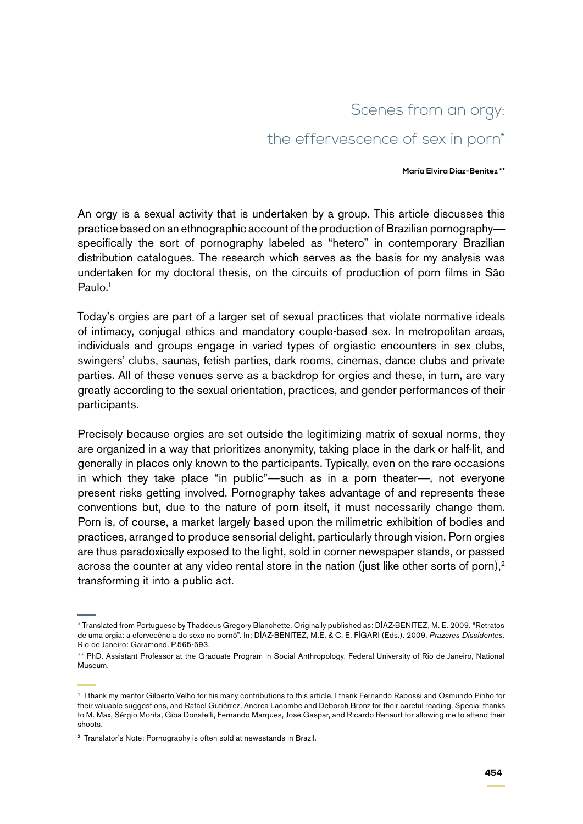## Scenes from an orgy:

## the effervescence of sex in porn<sup>\*</sup>

#### **María Elvira Díaz-Benítez \*\***

An orgy is a sexual activity that is undertaken by a group. This article discusses this practice based on an ethnographic account of the production of Brazilian pornography specifically the sort of pornography labeled as "hetero" in contemporary Brazilian distribution catalogues. The research which serves as the basis for my analysis was undertaken for my doctoral thesis, on the circuits of production of porn films in São Paulo.<sup>1</sup>

Today's orgies are part of a larger set of sexual practices that violate normative ideals of intimacy, conjugal ethics and mandatory couple-based sex. In metropolitan areas, individuals and groups engage in varied types of orgiastic encounters in sex clubs, swingers' clubs, saunas, fetish parties, dark rooms, cinemas, dance clubs and private parties. All of these venues serve as a backdrop for orgies and these, in turn, are vary greatly according to the sexual orientation, practices, and gender performances of their participants.

Precisely because orgies are set outside the legitimizing matrix of sexual norms, they are organized in a way that prioritizes anonymity, taking place in the dark or half-lit, and generally in places only known to the participants. Typically, even on the rare occasions in which they take place "in public"—such as in a porn theater—, not everyone present risks getting involved. Pornography takes advantage of and represents these conventions but, due to the nature of porn itself, it must necessarily change them. Porn is, of course, a market largely based upon the milimetric exhibition of bodies and practices, arranged to produce sensorial delight, particularly through vision. Porn orgies are thus paradoxically exposed to the light, sold in corner newspaper stands, or passed across the counter at any video rental store in the nation (just like other sorts of porn),<sup>2</sup> transforming it into a public act.

<sup>\*</sup> Translated from Portuguese by Thaddeus Gregory Blanchette. Originally published as: DÍAZ-BENITEZ, M. E. 2009. "Retratos de uma orgia: a efervecência do sexo no pornô". In: DÍAZ-BENITEZ, M.E. & C. E. FÍGARI (Eds.). 2009. *Prazeres Dissidentes*. Rio de Janeiro: Garamond. P.565-593.

<sup>\*\*</sup> PhD. Assistant Professor at the Graduate Program in Social Anthropology, Federal University of Rio de Janeiro, National Museum.

<sup>1</sup> I thank my mentor Gilberto Velho for his many contributions to this article. I thank Fernando Rabossi and Osmundo Pinho for their valuable suggestions, and Rafael Gutiérrez, Andrea Lacombe and Deborah Bronz for their careful reading. Special thanks to M. Max, Sérgio Morita, Giba Donatelli, Fernando Marques, José Gaspar, and Ricardo Renaurt for allowing me to attend their shoots.

<sup>&</sup>lt;sup>2</sup> Translator's Note: Pornography is often sold at newsstands in Brazil.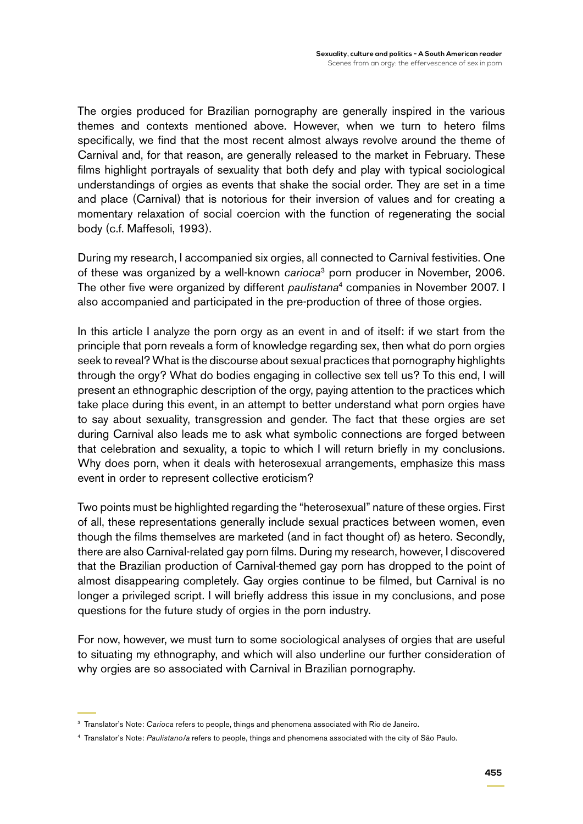The orgies produced for Brazilian pornography are generally inspired in the various themes and contexts mentioned above. However, when we turn to hetero films specifically, we find that the most recent almost always revolve around the theme of Carnival and, for that reason, are generally released to the market in February. These films highlight portrayals of sexuality that both defy and play with typical sociological understandings of orgies as events that shake the social order. They are set in a time and place (Carnival) that is notorious for their inversion of values and for creating a momentary relaxation of social coercion with the function of regenerating the social body (c.f. Maffesoli, 1993).

During my research, I accompanied six orgies, all connected to Carnival festivities. One of these was organized by a well-known *carioca*3 porn producer in November, 2006. The other five were organized by different *paulistana*4 companies in November 2007. I also accompanied and participated in the pre-production of three of those orgies.

In this article I analyze the porn orgy as an event in and of itself: if we start from the principle that porn reveals a form of knowledge regarding sex, then what do porn orgies seek to reveal? What is the discourse about sexual practices that pornography highlights through the orgy? What do bodies engaging in collective sex tell us? To this end, I will present an ethnographic description of the orgy, paying attention to the practices which take place during this event, in an attempt to better understand what porn orgies have to say about sexuality, transgression and gender. The fact that these orgies are set during Carnival also leads me to ask what symbolic connections are forged between that celebration and sexuality, a topic to which I will return briefly in my conclusions. Why does porn, when it deals with heterosexual arrangements, emphasize this mass event in order to represent collective eroticism?

Two points must be highlighted regarding the "heterosexual" nature of these orgies. First of all, these representations generally include sexual practices between women, even though the films themselves are marketed (and in fact thought of) as hetero. Secondly, there are also Carnival-related gay porn films. During my research, however, I discovered that the Brazilian production of Carnival-themed gay porn has dropped to the point of almost disappearing completely. Gay orgies continue to be filmed, but Carnival is no longer a privileged script. I will briefly address this issue in my conclusions, and pose questions for the future study of orgies in the porn industry.

For now, however, we must turn to some sociological analyses of orgies that are useful to situating my ethnography, and which will also underline our further consideration of why orgies are so associated with Carnival in Brazilian pornography.

<sup>3</sup> Translator's Note: *Carioca* refers to people, things and phenomena associated with Rio de Janeiro.

<sup>4</sup> Translator's Note: *Paulistano/a* refers to people, things and phenomena associated with the city of São Paulo.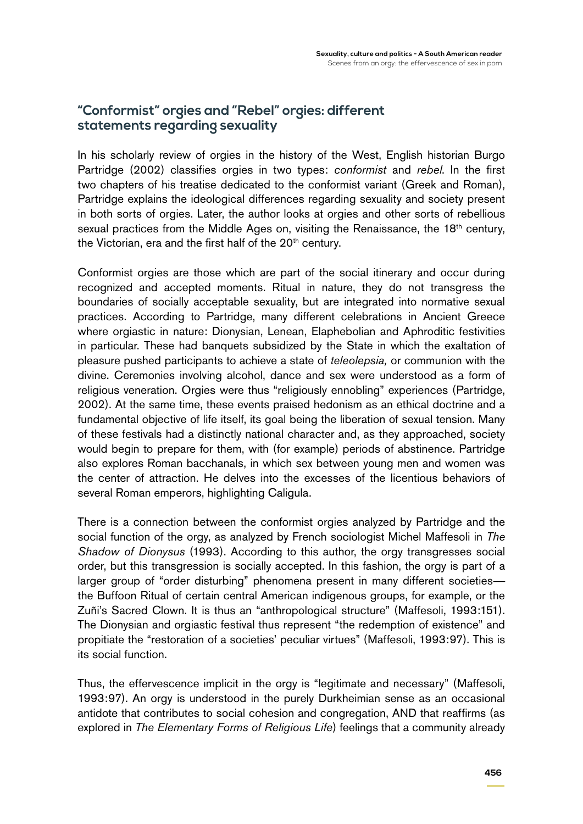## **"Conformist" orgies and "Rebel" orgies: different statements regarding sexuality**

In his scholarly review of orgies in the history of the West, English historian Burgo Partridge (2002) classifies orgies in two types: *conformist* and *rebel*. In the first two chapters of his treatise dedicated to the conformist variant (Greek and Roman), Partridge explains the ideological differences regarding sexuality and society present in both sorts of orgies. Later, the author looks at orgies and other sorts of rebellious sexual practices from the Middle Ages on, visiting the Renaissance, the 18<sup>th</sup> century, the Victorian, era and the first half of the 20<sup>th</sup> century.

Conformist orgies are those which are part of the social itinerary and occur during recognized and accepted moments. Ritual in nature, they do not transgress the boundaries of socially acceptable sexuality, but are integrated into normative sexual practices. According to Partridge, many different celebrations in Ancient Greece where orgiastic in nature: Dionysian, Lenean, Elaphebolian and Aphroditic festivities in particular. These had banquets subsidized by the State in which the exaltation of pleasure pushed participants to achieve a state of *teleolepsia,* or communion with the divine. Ceremonies involving alcohol, dance and sex were understood as a form of religious veneration. Orgies were thus "religiously ennobling" experiences (Partridge, 2002). At the same time, these events praised hedonism as an ethical doctrine and a fundamental objective of life itself, its goal being the liberation of sexual tension. Many of these festivals had a distinctly national character and, as they approached, society would begin to prepare for them, with (for example) periods of abstinence. Partridge also explores Roman bacchanals, in which sex between young men and women was the center of attraction. He delves into the excesses of the licentious behaviors of several Roman emperors, highlighting Caligula.

There is a connection between the conformist orgies analyzed by Partridge and the social function of the orgy, as analyzed by French sociologist Michel Maffesoli in *The Shadow of Dionysus* (1993). According to this author, the orgy transgresses social order, but this transgression is socially accepted. In this fashion, the orgy is part of a larger group of "order disturbing" phenomena present in many different societies the Buffoon Ritual of certain central American indigenous groups, for example, or the Zuñi's Sacred Clown. It is thus an "anthropological structure" (Maffesoli, 1993:151). The Dionysian and orgiastic festival thus represent "the redemption of existence" and propitiate the "restoration of a societies' peculiar virtues" (Maffesoli, 1993:97). This is its social function.

Thus, the effervescence implicit in the orgy is "legitimate and necessary" (Maffesoli, 1993:97). An orgy is understood in the purely Durkheimian sense as an occasional antidote that contributes to social cohesion and congregation, AND that reaffirms (as explored in *The Elementary Forms of Religious Life*) feelings that a community already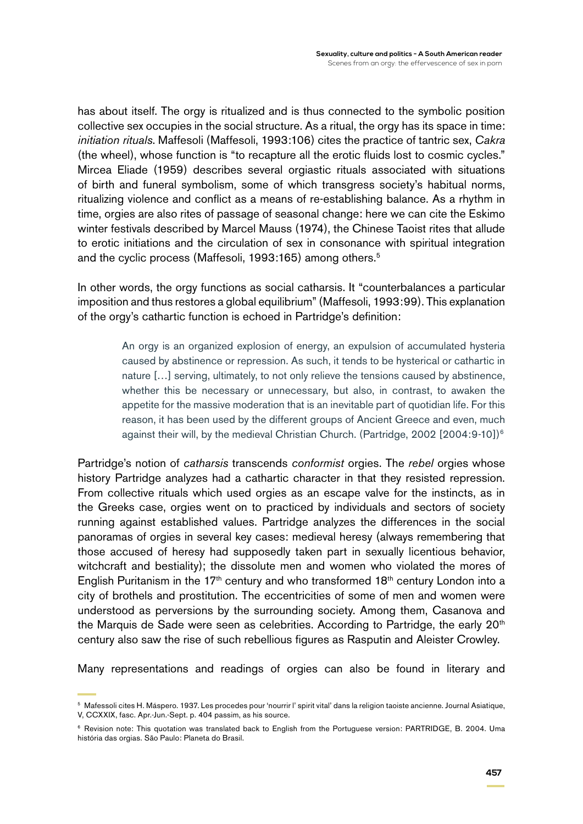has about itself. The orgy is ritualized and is thus connected to the symbolic position collective sex occupies in the social structure. As a ritual, the orgy has its space in time: *initiation rituals*. Maffesoli (Maffesoli, 1993:106) cites the practice of tantric sex, *Cakra*  (the wheel), whose function is "to recapture all the erotic fluids lost to cosmic cycles." Mircea Eliade (1959) describes several orgiastic rituals associated with situations of birth and funeral symbolism, some of which transgress society's habitual norms, ritualizing violence and conflict as a means of re-establishing balance. As a rhythm in time, orgies are also rites of passage of seasonal change: here we can cite the Eskimo winter festivals described by Marcel Mauss (1974), the Chinese Taoist rites that allude to erotic initiations and the circulation of sex in consonance with spiritual integration and the cyclic process (Maffesoli, 1993:165) among others.<sup>5</sup>

In other words, the orgy functions as social catharsis. It "counterbalances a particular imposition and thus restores a global equilibrium" (Maffesoli, 1993:99). This explanation of the orgy's cathartic function is echoed in Partridge's definition:

> An orgy is an organized explosion of energy, an expulsion of accumulated hysteria caused by abstinence or repression. As such, it tends to be hysterical or cathartic in nature […] serving, ultimately, to not only relieve the tensions caused by abstinence, whether this be necessary or unnecessary, but also, in contrast, to awaken the appetite for the massive moderation that is an inevitable part of quotidian life. For this reason, it has been used by the different groups of Ancient Greece and even, much against their will, by the medieval Christian Church. (Partridge, 2002 [2004:9-10])<sup>6</sup>

Partridge's notion of *catharsis* transcends *conformist* orgies. The *rebel* orgies whose history Partridge analyzes had a cathartic character in that they resisted repression. From collective rituals which used orgies as an escape valve for the instincts, as in the Greeks case, orgies went on to practiced by individuals and sectors of society running against established values. Partridge analyzes the differences in the social panoramas of orgies in several key cases: medieval heresy (always remembering that those accused of heresy had supposedly taken part in sexually licentious behavior, witchcraft and bestiality); the dissolute men and women who violated the mores of English Puritanism in the 17<sup>th</sup> century and who transformed 18<sup>th</sup> century London into a city of brothels and prostitution. The eccentricities of some of men and women were understood as perversions by the surrounding society. Among them, Casanova and the Marquis de Sade were seen as celebrities. According to Partridge, the early 20<sup>th</sup> century also saw the rise of such rebellious figures as Rasputin and Aleister Crowley.

Many representations and readings of orgies can also be found in literary and

<sup>5</sup> Mafessoli cites H. Máspero. 1937. Les procedes pour 'nourrir l' spirit vital' dans la religion taoiste ancienne. Journal Asiatique, V, CCXXIX, fasc. Apr.-Jun.-Sept. p. 404 passim, as his source.

<sup>&</sup>lt;sup>6</sup> Revision note: This quotation was translated back to English from the Portuguese version: PARTRIDGE, B. 2004. Uma história das orgias. São Paulo: Planeta do Brasil.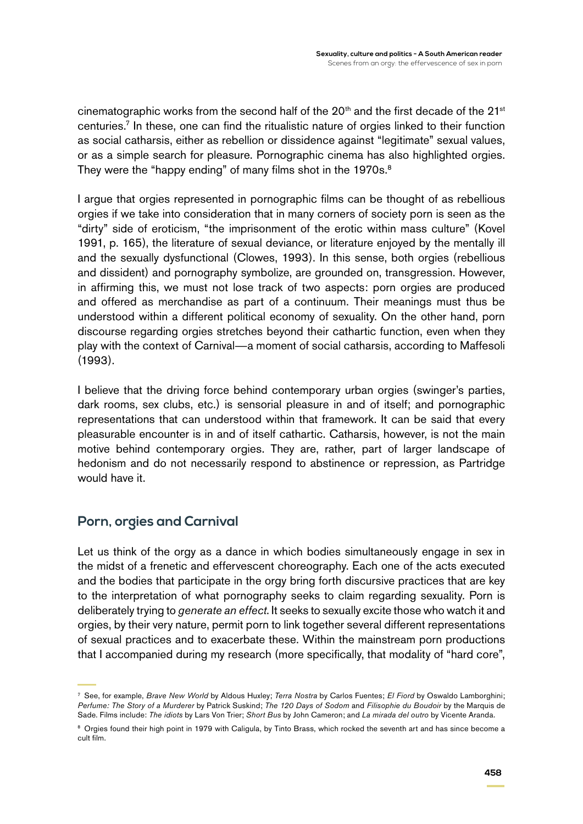cinematographic works from the second half of the  $20<sup>th</sup>$  and the first decade of the  $21<sup>st</sup>$ centuries.7 In these, one can find the ritualistic nature of orgies linked to their function as social catharsis, either as rebellion or dissidence against "legitimate" sexual values, or as a simple search for pleasure. Pornographic cinema has also highlighted orgies. They were the "happy ending" of many films shot in the 1970s.<sup>8</sup>

I argue that orgies represented in pornographic films can be thought of as rebellious orgies if we take into consideration that in many corners of society porn is seen as the "dirty" side of eroticism, "the imprisonment of the erotic within mass culture" (Kovel 1991, p. 165), the literature of sexual deviance, or literature enjoyed by the mentally ill and the sexually dysfunctional (Clowes, 1993). In this sense, both orgies (rebellious and dissident) and pornography symbolize, are grounded on, transgression. However, in affirming this, we must not lose track of two aspects: porn orgies are produced and offered as merchandise as part of a continuum. Their meanings must thus be understood within a different political economy of sexuality. On the other hand, porn discourse regarding orgies stretches beyond their cathartic function, even when they play with the context of Carnival—a moment of social catharsis, according to Maffesoli (1993).

I believe that the driving force behind contemporary urban orgies (swinger's parties, dark rooms, sex clubs, etc.) is sensorial pleasure in and of itself; and pornographic representations that can understood within that framework. It can be said that every pleasurable encounter is in and of itself cathartic. Catharsis, however, is not the main motive behind contemporary orgies. They are, rather, part of larger landscape of hedonism and do not necessarily respond to abstinence or repression, as Partridge would have it.

### **Porn, orgies and Carnival**

Let us think of the orgy as a dance in which bodies simultaneously engage in sex in the midst of a frenetic and effervescent choreography. Each one of the acts executed and the bodies that participate in the orgy bring forth discursive practices that are key to the interpretation of what pornography seeks to claim regarding sexuality. Porn is deliberately trying to *generate an effect*. It seeks to sexually excite those who watch it and orgies, by their very nature, permit porn to link together several different representations of sexual practices and to exacerbate these. Within the mainstream porn productions that I accompanied during my research (more specifically, that modality of "hard core",

<sup>7</sup> See, for example, *Brave New World* by Aldous Huxley; *Terra Nostra* by Carlos Fuentes; *El Fiord* by Oswaldo Lamborghini; *Perfume: The Story of a Murderer* by Patrick Suskind; *The 120 Days of Sodom* and *Filisophie du Boudoir* by the Marquis de Sade. Films include: *The idiots* by Lars Von Trier; *Short Bus* by John Cameron; and *La mirada del outro* by Vicente Aranda.

<sup>&</sup>lt;sup>8</sup> Orgies found their high point in 1979 with Caligula, by Tinto Brass, which rocked the seventh art and has since become a cult film.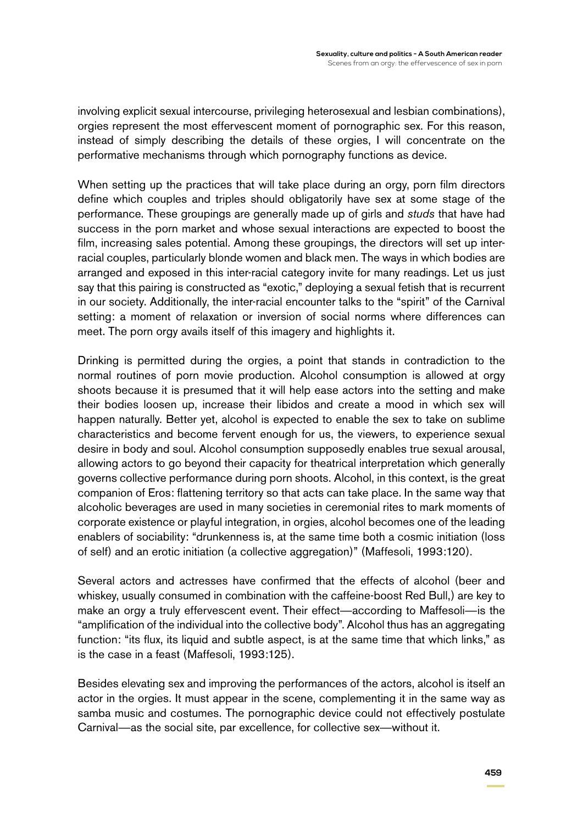involving explicit sexual intercourse, privileging heterosexual and lesbian combinations), orgies represent the most effervescent moment of pornographic sex. For this reason, instead of simply describing the details of these orgies, I will concentrate on the performative mechanisms through which pornography functions as device.

When setting up the practices that will take place during an orgy, porn film directors define which couples and triples should obligatorily have sex at some stage of the performance. These groupings are generally made up of girls and *studs* that have had success in the porn market and whose sexual interactions are expected to boost the film, increasing sales potential. Among these groupings, the directors will set up interracial couples, particularly blonde women and black men. The ways in which bodies are arranged and exposed in this inter-racial category invite for many readings. Let us just say that this pairing is constructed as "exotic," deploying a sexual fetish that is recurrent in our society. Additionally, the inter-racial encounter talks to the "spirit" of the Carnival setting: a moment of relaxation or inversion of social norms where differences can meet. The porn orgy avails itself of this imagery and highlights it.

Drinking is permitted during the orgies, a point that stands in contradiction to the normal routines of porn movie production. Alcohol consumption is allowed at orgy shoots because it is presumed that it will help ease actors into the setting and make their bodies loosen up, increase their libidos and create a mood in which sex will happen naturally. Better yet, alcohol is expected to enable the sex to take on sublime characteristics and become fervent enough for us, the viewers, to experience sexual desire in body and soul. Alcohol consumption supposedly enables true sexual arousal, allowing actors to go beyond their capacity for theatrical interpretation which generally governs collective performance during porn shoots. Alcohol, in this context, is the great companion of Eros: flattening territory so that acts can take place. In the same way that alcoholic beverages are used in many societies in ceremonial rites to mark moments of corporate existence or playful integration, in orgies, alcohol becomes one of the leading enablers of sociability: "drunkenness is, at the same time both a cosmic initiation (loss of self) and an erotic initiation (a collective aggregation)" (Maffesoli, 1993:120).

Several actors and actresses have confirmed that the effects of alcohol (beer and whiskey, usually consumed in combination with the caffeine-boost Red Bull,) are key to make an orgy a truly effervescent event. Their effect—according to Maffesoli—is the "amplification of the individual into the collective body". Alcohol thus has an aggregating function: "its flux, its liquid and subtle aspect, is at the same time that which links," as is the case in a feast (Maffesoli, 1993:125).

Besides elevating sex and improving the performances of the actors, alcohol is itself an actor in the orgies. It must appear in the scene, complementing it in the same way as samba music and costumes. The pornographic device could not effectively postulate Carnival—as the social site, par excellence, for collective sex—without it.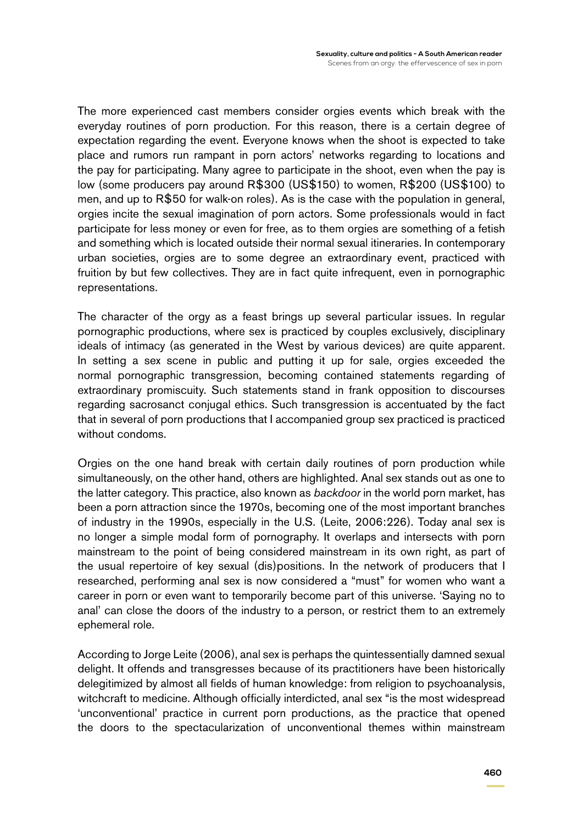The more experienced cast members consider orgies events which break with the everyday routines of porn production. For this reason, there is a certain degree of expectation regarding the event. Everyone knows when the shoot is expected to take place and rumors run rampant in porn actors' networks regarding to locations and the pay for participating. Many agree to participate in the shoot, even when the pay is low (some producers pay around R\$300 (US\$150) to women, R\$200 (US\$100) to men, and up to R\$50 for walk-on roles). As is the case with the population in general, orgies incite the sexual imagination of porn actors. Some professionals would in fact participate for less money or even for free, as to them orgies are something of a fetish and something which is located outside their normal sexual itineraries. In contemporary urban societies, orgies are to some degree an extraordinary event, practiced with fruition by but few collectives. They are in fact quite infrequent, even in pornographic representations.

The character of the orgy as a feast brings up several particular issues. In regular pornographic productions, where sex is practiced by couples exclusively, disciplinary ideals of intimacy (as generated in the West by various devices) are quite apparent. In setting a sex scene in public and putting it up for sale, orgies exceeded the normal pornographic transgression, becoming contained statements regarding of extraordinary promiscuity. Such statements stand in frank opposition to discourses regarding sacrosanct conjugal ethics. Such transgression is accentuated by the fact that in several of porn productions that I accompanied group sex practiced is practiced without condoms.

Orgies on the one hand break with certain daily routines of porn production while simultaneously, on the other hand, others are highlighted. Anal sex stands out as one to the latter category. This practice, also known as *backdoor* in the world porn market, has been a porn attraction since the 1970s, becoming one of the most important branches of industry in the 1990s, especially in the U.S. (Leite, 2006:226). Today anal sex is no longer a simple modal form of pornography. It overlaps and intersects with porn mainstream to the point of being considered mainstream in its own right, as part of the usual repertoire of key sexual (dis)positions. In the network of producers that I researched, performing anal sex is now considered a "must" for women who want a career in porn or even want to temporarily become part of this universe. 'Saying no to anal' can close the doors of the industry to a person, or restrict them to an extremely ephemeral role.

According to Jorge Leite (2006), anal sex is perhaps the quintessentially damned sexual delight. It offends and transgresses because of its practitioners have been historically delegitimized by almost all fields of human knowledge: from religion to psychoanalysis, witchcraft to medicine. Although officially interdicted, anal sex "is the most widespread 'unconventional' practice in current porn productions, as the practice that opened the doors to the spectacularization of unconventional themes within mainstream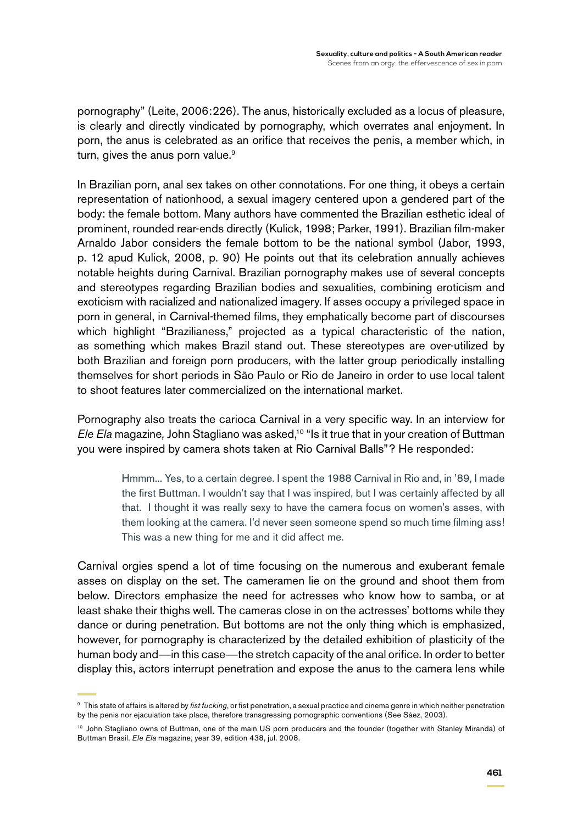pornography" (Leite, 2006:226). The anus, historically excluded as a locus of pleasure, is clearly and directly vindicated by pornography, which overrates anal enjoyment. In porn, the anus is celebrated as an orifice that receives the penis, a member which, in turn, gives the anus porn value. $9$ 

In Brazilian porn, anal sex takes on other connotations. For one thing, it obeys a certain representation of nationhood, a sexual imagery centered upon a gendered part of the body: the female bottom. Many authors have commented the Brazilian esthetic ideal of prominent, rounded rear-ends directly (Kulick, 1998; Parker, 1991). Brazilian film-maker Arnaldo Jabor considers the female bottom to be the national symbol (Jabor, 1993, p. 12 apud Kulick, 2008, p. 90) He points out that its celebration annually achieves notable heights during Carnival. Brazilian pornography makes use of several concepts and stereotypes regarding Brazilian bodies and sexualities, combining eroticism and exoticism with racialized and nationalized imagery. If asses occupy a privileged space in porn in general, in Carnival-themed films, they emphatically become part of discourses which highlight "Brazilianess," projected as a typical characteristic of the nation, as something which makes Brazil stand out. These stereotypes are over-utilized by both Brazilian and foreign porn producers, with the latter group periodically installing themselves for short periods in São Paulo or Rio de Janeiro in order to use local talent to shoot features later commercialized on the international market.

Pornography also treats the carioca Carnival in a very specific way. In an interview for *Ele Ela* magazine*,* John Stagliano was asked,10 "Is it true that in your creation of Buttman you were inspired by camera shots taken at Rio Carnival Balls"? He responded:

> Hmmm... Yes, to a certain degree. I spent the 1988 Carnival in Rio and, in '89, I made the first Buttman. I wouldn't say that I was inspired, but I was certainly affected by all that. I thought it was really sexy to have the camera focus on women's asses, with them looking at the camera. I'd never seen someone spend so much time filming ass! This was a new thing for me and it did affect me.

Carnival orgies spend a lot of time focusing on the numerous and exuberant female asses on display on the set. The cameramen lie on the ground and shoot them from below. Directors emphasize the need for actresses who know how to samba, or at least shake their thighs well. The cameras close in on the actresses' bottoms while they dance or during penetration. But bottoms are not the only thing which is emphasized, however, for pornography is characterized by the detailed exhibition of plasticity of the human body and—in this case—the stretch capacity of the anal orifice. In order to better display this, actors interrupt penetration and expose the anus to the camera lens while

<sup>9</sup> This state of affairs is altered by *fist fucking*, or fist penetration, a sexual practice and cinema genre in which neither penetration by the penis nor ejaculation take place, therefore transgressing pornographic conventions (See Sáez, 2003).

<sup>&</sup>lt;sup>10</sup> John Stagliano owns of Buttman, one of the main US porn producers and the founder (together with Stanley Miranda) of Buttman Brasil. *Ele Ela* magazine, year 39, edition 438, jul. 2008.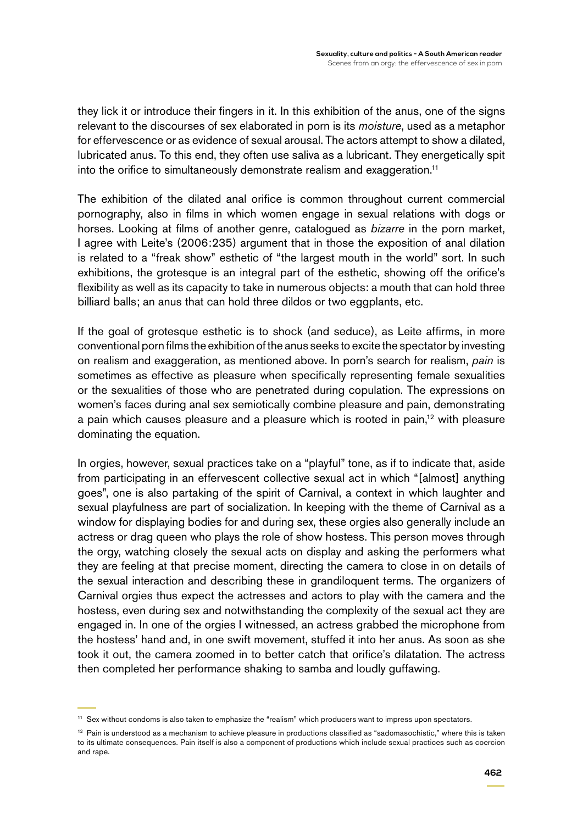they lick it or introduce their fingers in it. In this exhibition of the anus, one of the signs relevant to the discourses of sex elaborated in porn is its *moisture*, used as a metaphor for effervescence or as evidence of sexual arousal. The actors attempt to show a dilated, lubricated anus. To this end, they often use saliva as a lubricant. They energetically spit into the orifice to simultaneously demonstrate realism and exaggeration.<sup>11</sup>

The exhibition of the dilated anal orifice is common throughout current commercial pornography, also in films in which women engage in sexual relations with dogs or horses. Looking at films of another genre, catalogued as *bizarre* in the porn market, I agree with Leite's (2006:235) argument that in those the exposition of anal dilation is related to a "freak show" esthetic of "the largest mouth in the world" sort. In such exhibitions, the grotesque is an integral part of the esthetic, showing off the orifice's flexibility as well as its capacity to take in numerous objects: a mouth that can hold three billiard balls; an anus that can hold three dildos or two eggplants, etc.

If the goal of grotesque esthetic is to shock (and seduce), as Leite affirms, in more conventional porn films the exhibition of the anus seeks to excite the spectator by investing on realism and exaggeration, as mentioned above. In porn's search for realism, *pain* is sometimes as effective as pleasure when specifically representing female sexualities or the sexualities of those who are penetrated during copulation. The expressions on women's faces during anal sex semiotically combine pleasure and pain, demonstrating a pain which causes pleasure and a pleasure which is rooted in pain,<sup>12</sup> with pleasure dominating the equation.

In orgies, however, sexual practices take on a "playful" tone, as if to indicate that, aside from participating in an effervescent collective sexual act in which "[almost] anything goes", one is also partaking of the spirit of Carnival, a context in which laughter and sexual playfulness are part of socialization. In keeping with the theme of Carnival as a window for displaying bodies for and during sex, these orgies also generally include an actress or drag queen who plays the role of show hostess. This person moves through the orgy, watching closely the sexual acts on display and asking the performers what they are feeling at that precise moment, directing the camera to close in on details of the sexual interaction and describing these in grandiloquent terms. The organizers of Carnival orgies thus expect the actresses and actors to play with the camera and the hostess, even during sex and notwithstanding the complexity of the sexual act they are engaged in. In one of the orgies I witnessed, an actress grabbed the microphone from the hostess' hand and, in one swift movement, stuffed it into her anus. As soon as she took it out, the camera zoomed in to better catch that orifice's dilatation. The actress then completed her performance shaking to samba and loudly guffawing.

<sup>11</sup> Sex without condoms is also taken to emphasize the "realism" which producers want to impress upon spectators.

<sup>&</sup>lt;sup>12</sup> Pain is understood as a mechanism to achieve pleasure in productions classified as "sadomasochistic," where this is taken to its ultimate consequences. Pain itself is also a component of productions which include sexual practices such as coercion and rape.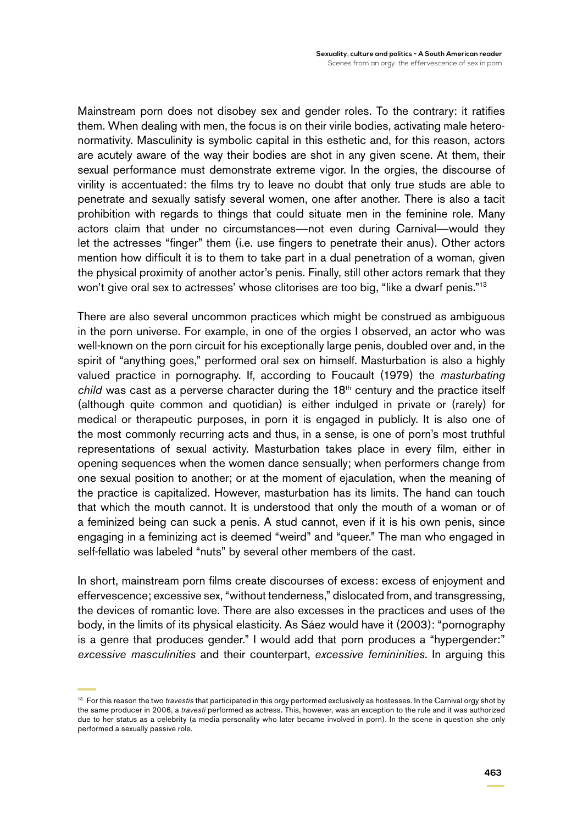Mainstream porn does not disobey sex and gender roles. To the contrary: it ratifies them. When dealing with men, the focus is on their virile bodies, activating male heteronormativity. Masculinity is symbolic capital in this esthetic and, for this reason, actors are acutely aware of the way their bodies are shot in any given scene. At them, their sexual performance must demonstrate extreme vigor. In the orgies, the discourse of virility is accentuated: the films try to leave no doubt that only true studs are able to penetrate and sexually satisfy several women, one after another. There is also a tacit prohibition with regards to things that could situate men in the feminine role. Many actors claim that under no circumstances—not even during Carnival—would they let the actresses "finger" them (i.e. use fingers to penetrate their anus). Other actors mention how difficult it is to them to take part in a dual penetration of a woman, given the physical proximity of another actor's penis. Finally, still other actors remark that they won't give oral sex to actresses' whose clitorises are too big, "like a dwarf penis."<sup>13</sup>

There are also several uncommon practices which might be construed as ambiguous in the porn universe. For example, in one of the orgies I observed, an actor who was well-known on the porn circuit for his exceptionally large penis, doubled over and, in the spirit of "anything goes," performed oral sex on himself. Masturbation is also a highly valued practice in pornography. If, according to Foucault (1979) the *masturbating child* was cast as a perverse character during the 18th century and the practice itself (although quite common and quotidian) is either indulged in private or (rarely) for medical or therapeutic purposes, in porn it is engaged in publicly. It is also one of the most commonly recurring acts and thus, in a sense, is one of porn's most truthful representations of sexual activity. Masturbation takes place in every film, either in opening sequences when the women dance sensually; when performers change from one sexual position to another; or at the moment of ejaculation, when the meaning of the practice is capitalized. However, masturbation has its limits. The hand can touch that which the mouth cannot. It is understood that only the mouth of a woman or of a feminized being can suck a penis. A stud cannot, even if it is his own penis, since engaging in a feminizing act is deemed "weird" and "queer." The man who engaged in self-fellatio was labeled "nuts" by several other members of the cast.

In short, mainstream porn films create discourses of excess: excess of enjoyment and effervescence; excessive sex, "without tenderness," dislocated from, and transgressing, the devices of romantic love. There are also excesses in the practices and uses of the body, in the limits of its physical elasticity. As Sáez would have it (2003): "pornography is a genre that produces gender." I would add that porn produces a "hypergender:" *excessive masculinities* and their counterpart, *excessive femininities*. In arguing this

<sup>13</sup> For this reason the two *travestis* that participated in this orgy performed exclusively as hostesses. In the Carnival orgy shot by the same producer in 2006, a *travesti* performed as actress. This, however, was an exception to the rule and it was authorized due to her status as a celebrity (a media personality who later became involved in porn). In the scene in question she only performed a sexually passive role.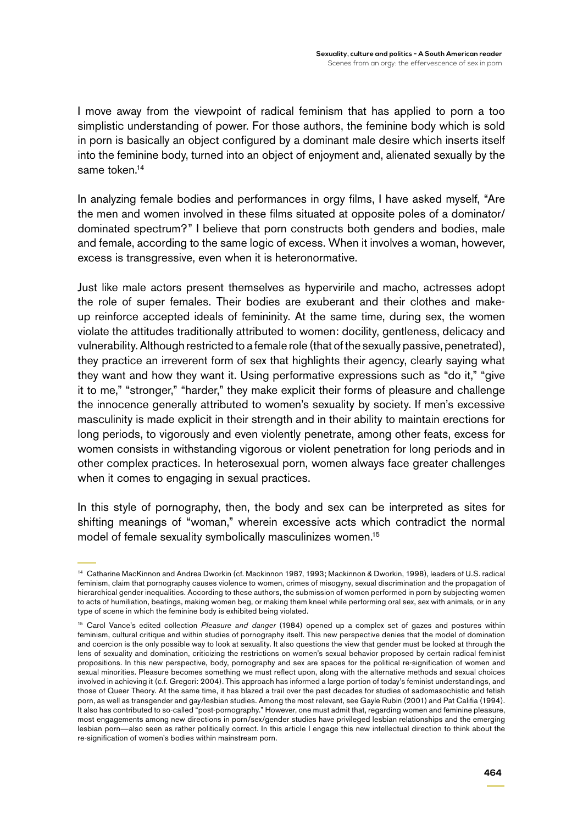I move away from the viewpoint of radical feminism that has applied to porn a too simplistic understanding of power. For those authors, the feminine body which is sold in porn is basically an object configured by a dominant male desire which inserts itself into the feminine body, turned into an object of enjoyment and, alienated sexually by the same token.<sup>14</sup>

In analyzing female bodies and performances in orgy films, I have asked myself, "Are the men and women involved in these films situated at opposite poles of a dominator/ dominated spectrum?" I believe that porn constructs both genders and bodies, male and female, according to the same logic of excess. When it involves a woman, however, excess is transgressive, even when it is heteronormative.

Just like male actors present themselves as hypervirile and macho, actresses adopt the role of super females. Their bodies are exuberant and their clothes and makeup reinforce accepted ideals of femininity. At the same time, during sex, the women violate the attitudes traditionally attributed to women: docility, gentleness, delicacy and vulnerability. Although restricted to a female role (that of the sexually passive, penetrated), they practice an irreverent form of sex that highlights their agency, clearly saying what they want and how they want it. Using performative expressions such as "do it," "give it to me," "stronger," "harder," they make explicit their forms of pleasure and challenge the innocence generally attributed to women's sexuality by society. If men's excessive masculinity is made explicit in their strength and in their ability to maintain erections for long periods, to vigorously and even violently penetrate, among other feats, excess for women consists in withstanding vigorous or violent penetration for long periods and in other complex practices. In heterosexual porn, women always face greater challenges when it comes to engaging in sexual practices.

In this style of pornography, then, the body and sex can be interpreted as sites for shifting meanings of "woman," wherein excessive acts which contradict the normal model of female sexuality symbolically masculinizes women.<sup>15</sup>

<sup>14</sup> Catharine MacKinnon and Andrea Dworkin (cf. Mackinnon 1987, 1993; Mackinnon & Dworkin, 1998), leaders of U.S. radical feminism, claim that pornography causes violence to women, crimes of misogyny, sexual discrimination and the propagation of hierarchical gender inequalities. According to these authors, the submission of women performed in porn by subjecting women to acts of humiliation, beatings, making women beg, or making them kneel while performing oral sex, sex with animals, or in any type of scene in which the feminine body is exhibited being violated.

<sup>15</sup> Carol Vance's edited collection *Pleasure and danger* (1984) opened up a complex set of gazes and postures within feminism, cultural critique and within studies of pornography itself. This new perspective denies that the model of domination and coercion is the only possible way to look at sexuality. It also questions the view that gender must be looked at through the lens of sexuality and domination, criticizing the restrictions on women's sexual behavior proposed by certain radical feminist propositions. In this new perspective, body, pornography and sex are spaces for the political re-signification of women and sexual minorities. Pleasure becomes something we must reflect upon, along with the alternative methods and sexual choices involved in achieving it (c.f. Gregori: 2004). This approach has informed a large portion of today's feminist understandings, and those of Queer Theory. At the same time, it has blazed a trail over the past decades for studies of sadomasochistic and fetish porn, as well as transgender and gay/lesbian studies. Among the most relevant, see Gayle Rubin (2001) and Pat Califia (1994). It also has contributed to so-called "post-pornography." However, one must admit that, regarding women and feminine pleasure, most engagements among new directions in porn/sex/gender studies have privileged lesbian relationships and the emerging lesbian porn—also seen as rather politically correct. In this article I engage this new intellectual direction to think about the re-signification of women's bodies within mainstream porn.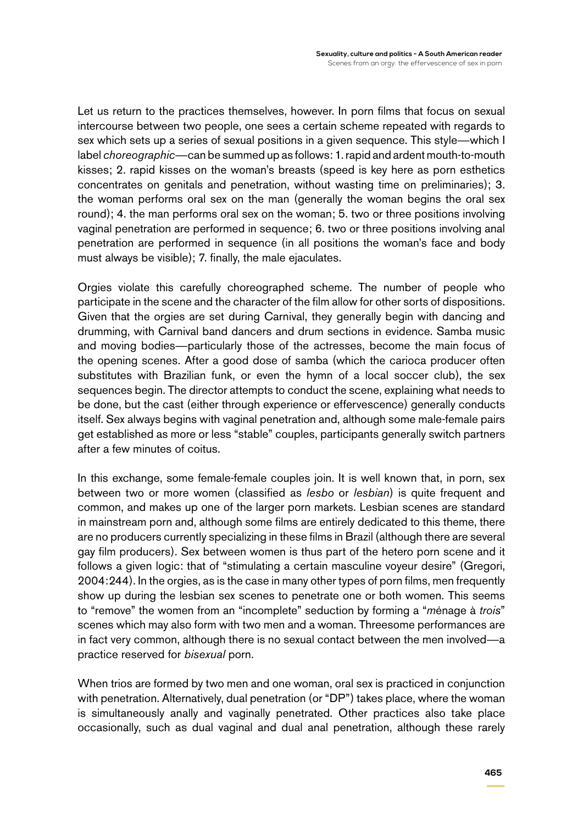Let us return to the practices themselves, however. In porn films that focus on sexual intercourse between two people, one sees a certain scheme repeated with regards to sex which sets up a series of sexual positions in a given sequence. This style—which I label *choreographic*—can be summed up as follows: 1. rapid and ardent mouth-to-mouth kisses; 2. rapid kisses on the woman's breasts (speed is key here as porn esthetics concentrates on genitals and penetration, without wasting time on preliminaries); 3. the woman performs oral sex on the man (generally the woman begins the oral sex round); 4. the man performs oral sex on the woman; 5. two or three positions involving vaginal penetration are performed in sequence; 6. two or three positions involving anal penetration are performed in sequence (in all positions the woman's face and body must always be visible); 7. finally, the male ejaculates.

Orgies violate this carefully choreographed scheme. The number of people who participate in the scene and the character of the film allow for other sorts of dispositions. Given that the orgies are set during Carnival, they generally begin with dancing and drumming, with Carnival band dancers and drum sections in evidence. Samba music and moving bodies—particularly those of the actresses, become the main focus of the opening scenes. After a good dose of samba (which the carioca producer often substitutes with Brazilian funk, or even the hymn of a local soccer club), the sex sequences begin. The director attempts to conduct the scene, explaining what needs to be done, but the cast (either through experience or effervescence) generally conducts itself. Sex always begins with vaginal penetration and, although some male-female pairs get established as more or less "stable" couples, participants generally switch partners after a few minutes of coitus.

In this exchange, some female-female couples join. It is well known that, in porn, sex between two or more women (classified as *lesbo* or *lesbian*) is quite frequent and common, and makes up one of the larger porn markets. Lesbian scenes are standard in mainstream porn and, although some films are entirely dedicated to this theme, there are no producers currently specializing in these films in Brazil (although there are several gay film producers). Sex between women is thus part of the hetero porn scene and it follows a given logic: that of "stimulating a certain masculine voyeur desire" (Gregori, 2004:244). In the orgies, as is the case in many other types of porn films, men frequently show up during the lesbian sex scenes to penetrate one or both women. This seems to "remove" the women from an "incomplete" seduction by forming a "*m*énage à *trois*" scenes which may also form with two men and a woman. Threesome performances are in fact very common, although there is no sexual contact between the men involved—a practice reserved for *bisexual* porn.

When trios are formed by two men and one woman, oral sex is practiced in conjunction with penetration. Alternatively, dual penetration (or "DP") takes place, where the woman is simultaneously anally and vaginally penetrated. Other practices also take place occasionally, such as dual vaginal and dual anal penetration, although these rarely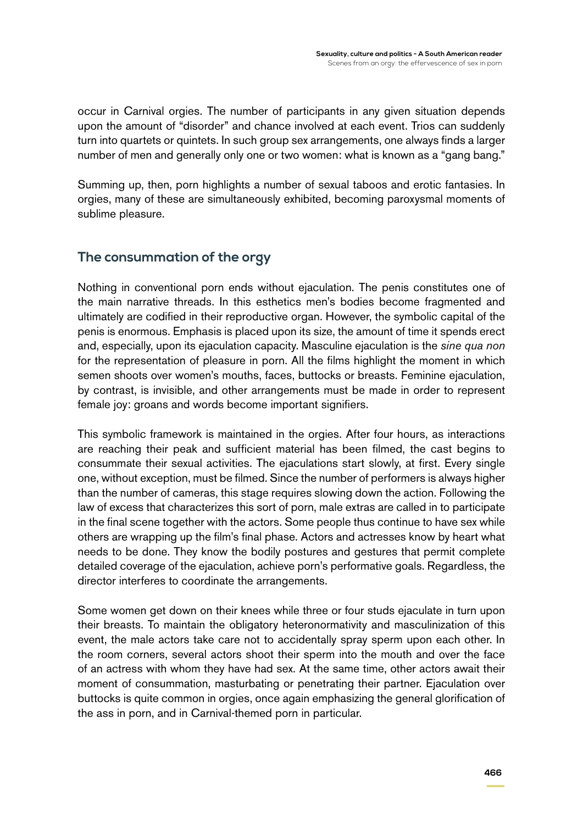occur in Carnival orgies. The number of participants in any given situation depends upon the amount of "disorder" and chance involved at each event. Trios can suddenly turn into quartets or quintets. In such group sex arrangements, one always finds a larger number of men and generally only one or two women: what is known as a "gang bang."

Summing up, then, porn highlights a number of sexual taboos and erotic fantasies. In orgies, many of these are simultaneously exhibited, becoming paroxysmal moments of sublime pleasure.

### **The consummation of the orgy**

Nothing in conventional porn ends without ejaculation. The penis constitutes one of the main narrative threads. In this esthetics men's bodies become fragmented and ultimately are codified in their reproductive organ. However, the symbolic capital of the penis is enormous. Emphasis is placed upon its size, the amount of time it spends erect and, especially, upon its ejaculation capacity. Masculine ejaculation is the *sine qua non* for the representation of pleasure in porn. All the films highlight the moment in which semen shoots over women's mouths, faces, buttocks or breasts. Feminine ejaculation, by contrast, is invisible, and other arrangements must be made in order to represent female joy: groans and words become important signifiers.

This symbolic framework is maintained in the orgies. After four hours, as interactions are reaching their peak and sufficient material has been filmed, the cast begins to consummate their sexual activities. The ejaculations start slowly, at first. Every single one, without exception, must be filmed. Since the number of performers is always higher than the number of cameras, this stage requires slowing down the action. Following the law of excess that characterizes this sort of porn, male extras are called in to participate in the final scene together with the actors. Some people thus continue to have sex while others are wrapping up the film's final phase. Actors and actresses know by heart what needs to be done. They know the bodily postures and gestures that permit complete detailed coverage of the ejaculation, achieve porn's performative goals. Regardless, the director interferes to coordinate the arrangements.

Some women get down on their knees while three or four studs ejaculate in turn upon their breasts. To maintain the obligatory heteronormativity and masculinization of this event, the male actors take care not to accidentally spray sperm upon each other. In the room corners, several actors shoot their sperm into the mouth and over the face of an actress with whom they have had sex. At the same time, other actors await their moment of consummation, masturbating or penetrating their partner. Ejaculation over buttocks is quite common in orgies, once again emphasizing the general glorification of the ass in porn, and in Carnival-themed porn in particular.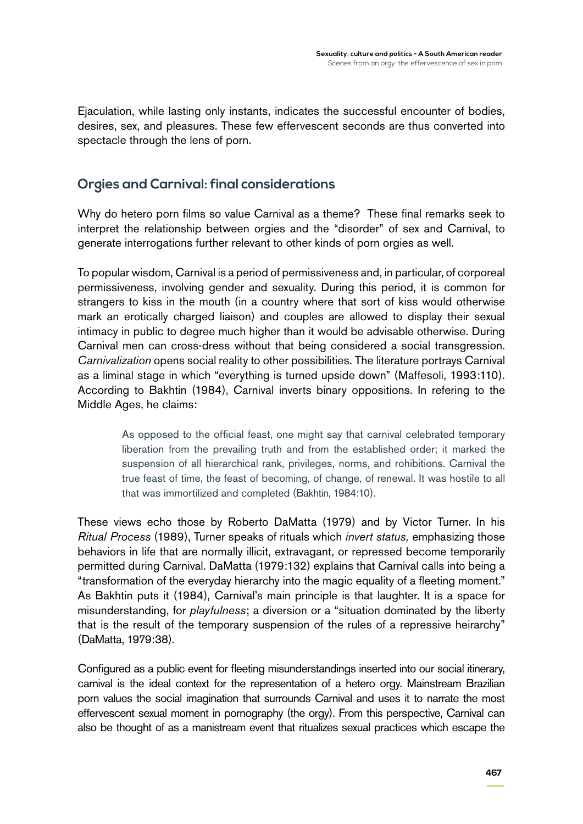Ejaculation, while lasting only instants, indicates the successful encounter of bodies, desires, sex, and pleasures. These few effervescent seconds are thus converted into spectacle through the lens of porn.

## **Orgies and Carnival: final considerations**

Why do hetero porn films so value Carnival as a theme? These final remarks seek to interpret the relationship between orgies and the "disorder" of sex and Carnival, to generate interrogations further relevant to other kinds of porn orgies as well.

To popular wisdom, Carnival is a period of permissiveness and, in particular, of corporeal permissiveness, involving gender and sexuality. During this period, it is common for strangers to kiss in the mouth (in a country where that sort of kiss would otherwise mark an erotically charged liaison) and couples are allowed to display their sexual intimacy in public to degree much higher than it would be advisable otherwise. During Carnival men can cross-dress without that being considered a social transgression. *Carnivalization* opens social reality to other possibilities. The literature portrays Carnival as a liminal stage in which "everything is turned upside down" (Maffesoli, 1993:110). According to Bakhtin (1984), Carnival inverts binary oppositions. In refering to the Middle Ages, he claims:

> As opposed to the official feast, one might say that carnival celebrated temporary liberation from the prevailing truth and from the established order; it marked the suspension of all hierarchical rank, privileges, norms, and rohibitions. Carnival the true feast of time, the feast of becoming, of change, of renewal. It was hostile to all that was immortilized and completed (Bakhtin, 1984:10).

These views echo those by Roberto DaMatta (1979) and by Victor Turner. In his *Ritual Process* (1989), Turner speaks of rituals which *invert status,* emphasizing those behaviors in life that are normally illicit, extravagant, or repressed become temporarily permitted during Carnival. DaMatta (1979:132) explains that Carnival calls into being a "transformation of the everyday hierarchy into the magic equality of a fleeting moment." As Bakhtin puts it (1984), Carnival's main principle is that laughter. It is a space for misunderstanding, for *playfulness*; a diversion or a "situation dominated by the liberty that is the result of the temporary suspension of the rules of a repressive heirarchy" (DaMatta, 1979:38).

Configured as a public event for fleeting misunderstandings inserted into our social itinerary, carnival is the ideal context for the representation of a hetero orgy. Mainstream Brazilian porn values the social imagination that surrounds Carnival and uses it to narrate the most effervescent sexual moment in pornography (the orgy). From this perspective, Carnival can also be thought of as a manistream event that ritualizes sexual practices which escape the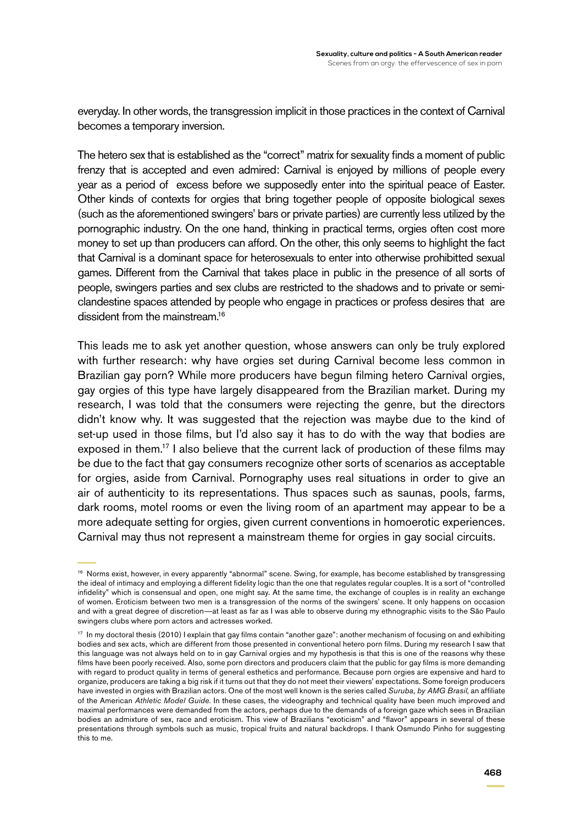everyday. In other words, the transgression implicit in those practices in the context of Carnival becomes a temporary inversion.

The hetero sex that is established as the "correct" matrix for sexuality finds a moment of public frenzy that is accepted and even admired: Carnival is enjoyed by millions of people every year as a period of excess before we supposedly enter into the spiritual peace of Easter. Other kinds of contexts for orgies that bring together people of opposite biological sexes (such as the aforementioned swingers' bars or private parties) are currently less utilized by the pornographic industry. On the one hand, thinking in practical terms, orgies often cost more money to set up than producers can afford. On the other, this only seems to highlight the fact that Carnival is a dominant space for heterosexuals to enter into otherwise prohibitted sexual games. Different from the Carnival that takes place in public in the presence of all sorts of people, swingers parties and sex clubs are restricted to the shadows and to private or semiclandestine spaces attended by people who engage in practices or profess desires that are dissident from the mainstream.<sup>16</sup>

This leads me to ask yet another question, whose answers can only be truly explored with further research: why have orgies set during Carnival become less common in Brazilian gay porn? While more producers have begun filming hetero Carnival orgies, gay orgies of this type have largely disappeared from the Brazilian market. During my research, I was told that the consumers were rejecting the genre, but the directors didn't know why. It was suggested that the rejection was maybe due to the kind of set-up used in those films, but I'd also say it has to do with the way that bodies are exposed in them.<sup>17</sup> I also believe that the current lack of production of these films may be due to the fact that gay consumers recognize other sorts of scenarios as acceptable for orgies, aside from Carnival. Pornography uses real situations in order to give an air of authenticity to its representations. Thus spaces such as saunas, pools, farms, dark rooms, motel rooms or even the living room of an apartment may appear to be a more adequate setting for orgies, given current conventions in homoerotic experiences. Carnival may thus not represent a mainstream theme for orgies in gay social circuits.

<sup>&</sup>lt;sup>16</sup> Norms exist, however, in every apparently "abnormal" scene. Swing, for example, has become established by transgressing the ideal of intimacy and employing a different fidelity logic than the one that regulates regular couples. It is a sort of "controlled infidelity" which is consensual and open, one might say. At the same time, the exchange of couples is in reality an exchange of women. Eroticism between two men is a transgression of the norms of the swingers' scene. It only happens on occasion and with a great degree of discretion—at least as far as I was able to observe during my ethnographic visits to the São Paulo swingers clubs where porn actors and actresses worked.

<sup>17</sup> In my doctoral thesis (2010) I explain that gay films contain "another gaze": another mechanism of focusing on and exhibiting bodies and sex acts, which are different from those presented in conventional hetero porn films. During my research I saw that this language was not always held on to in gay Carnival orgies and my hypothesis is that this is one of the reasons why these films have been poorly received. Also, some porn directors and producers claim that the public for gay films is more demanding with regard to product quality in terms of general esthetics and performance. Because porn orgies are expensive and hard to organize, producers are taking a big risk if it turns out that they do not meet their viewers' expectations. Some foreign producers have invested in orgies with Brazilian actors. One of the most well known is the series called *Suruba, by AMG Brasil*, an affiliate of the American *Athletic Model Guide*. In these cases, the videography and technical quality have been much improved and maximal performances were demanded from the actors, perhaps due to the demands of a foreign gaze which sees in Brazilian bodies an admixture of sex, race and eroticism. This view of Brazilians "exoticism" and "flavor" appears in several of these presentations through symbols such as music, tropical fruits and natural backdrops. I thank Osmundo Pinho for suggesting this to me.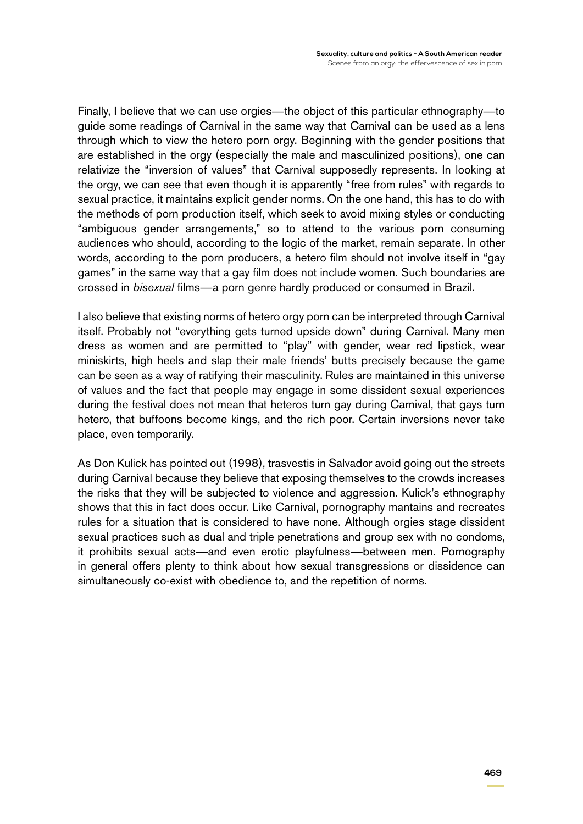Finally, I believe that we can use orgies—the object of this particular ethnography—to guide some readings of Carnival in the same way that Carnival can be used as a lens through which to view the hetero porn orgy. Beginning with the gender positions that are established in the orgy (especially the male and masculinized positions), one can relativize the "inversion of values" that Carnival supposedly represents. In looking at the orgy, we can see that even though it is apparently "free from rules" with regards to sexual practice, it maintains explicit gender norms. On the one hand, this has to do with the methods of porn production itself, which seek to avoid mixing styles or conducting "ambiguous gender arrangements," so to attend to the various porn consuming audiences who should, according to the logic of the market, remain separate. In other words, according to the porn producers, a hetero film should not involve itself in "gay games" in the same way that a gay film does not include women. Such boundaries are crossed in *bisexual* films—a porn genre hardly produced or consumed in Brazil.

I also believe that existing norms of hetero orgy porn can be interpreted through Carnival itself. Probably not "everything gets turned upside down" during Carnival. Many men dress as women and are permitted to "play" with gender, wear red lipstick, wear miniskirts, high heels and slap their male friends' butts precisely because the game can be seen as a way of ratifying their masculinity. Rules are maintained in this universe of values and the fact that people may engage in some dissident sexual experiences during the festival does not mean that heteros turn gay during Carnival, that gays turn hetero, that buffoons become kings, and the rich poor. Certain inversions never take place, even temporarily.

As Don Kulick has pointed out (1998), trasvestis in Salvador avoid going out the streets during Carnival because they believe that exposing themselves to the crowds increases the risks that they will be subjected to violence and aggression. Kulick's ethnography shows that this in fact does occur. Like Carnival, pornography mantains and recreates rules for a situation that is considered to have none. Although orgies stage dissident sexual practices such as dual and triple penetrations and group sex with no condoms, it prohibits sexual acts—and even erotic playfulness—between men. Pornography in general offers plenty to think about how sexual transgressions or dissidence can simultaneously co-exist with obedience to, and the repetition of norms.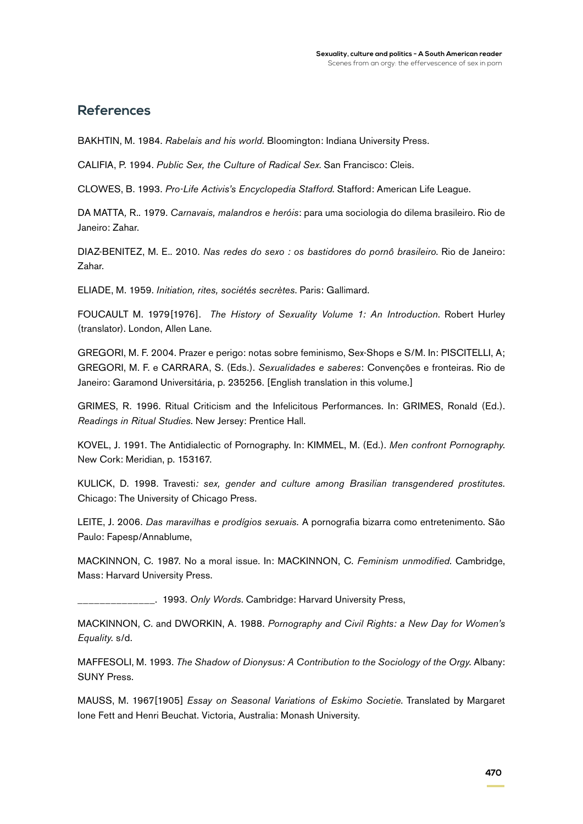### **References**

BAKHTIN, M. 1984. *Rabelais and his world*. Bloomington: Indiana University Press.

CALIFIA, P. 1994. *Public Sex, the Culture of Radical Sex*. San Francisco: Cleis.

CLOWES, B. 1993. *Pro-Life Activis's Encyclopedia Stafford*. Stafford: American Life League.

DA MATTA*,* R.*.* 1979. *Carnavais, malandros e heróis*: para uma sociologia do dilema brasileiro. Rio de Janeiro: Zahar.

DIAZ-BENITEZ, M. E.. 2010. *Nas redes do sexo : os bastidores do pornô brasileiro*. Rio de Janeiro: Zahar.

ELIADE, M. 1959. *Initiation, rites, sociétés secrètes*. Paris: Gallimard.

FOUCAULT M. 1979[1976]. *The History of Sexuality Volume 1: An Introduction*. Robert Hurley (translator). London, Allen Lane.

GREGORI, M. F. 2004. Prazer e perigo: notas sobre feminismo, Sex-Shops e S/M. In: PISCITELLI, A; GREGORI, M. F. e CARRARA, S. (Eds.). *Sexualidades e saberes*: Convenções e fronteiras. Rio de Janeiro: Garamond Universitária, p. 235256. [English translation in this volume.]

GRIMES, R. 1996. Ritual Criticism and the Infelicitous Performances. In: GRIMES, Ronald (Ed.). *Readings in Ritual Studies*. New Jersey: Prentice Hall.

KOVEL, J. 1991. The Antidialectic of Pornography. In: KIMMEL, M. (Ed.). *Men confront Pornography*. New Cork: Meridian, p. 153167.

KULICK, D. 1998. Travesti*: sex, gender and culture among Brasilian transgendered prostitutes.*  Chicago: The University of Chicago Press.

LEITE, J. 2006. *Das maravilhas e prodígios sexuais.* A pornografia bizarra como entretenimento. São Paulo: Fapesp/Annablume,

MACKINNON, C. 1987. No a moral issue. In: MACKINNON, C. *Feminism unmodified*. Cambridge, Mass: Harvard University Press.

\_\_\_\_\_\_\_\_\_\_\_\_\_\_. 1993. *Only Words*. Cambridge: Harvard University Press,

MACKINNON, C. and DWORKIN, A. 1988. *Pornography and Civil Rights: a New Day for Women's Equality.* s/d.

MAFFESOLI, M. 1993. *The Shadow of Dionysus: A Contribution to the Sociology of the Orgy*. Albany: SUNY Press.

MAUSS, M. 1967[1905] *Essay on Seasonal Variations of Eskimo Societie*. Translated by Margaret Ione Fett and Henri Beuchat. Victoria, Australia: Monash University.